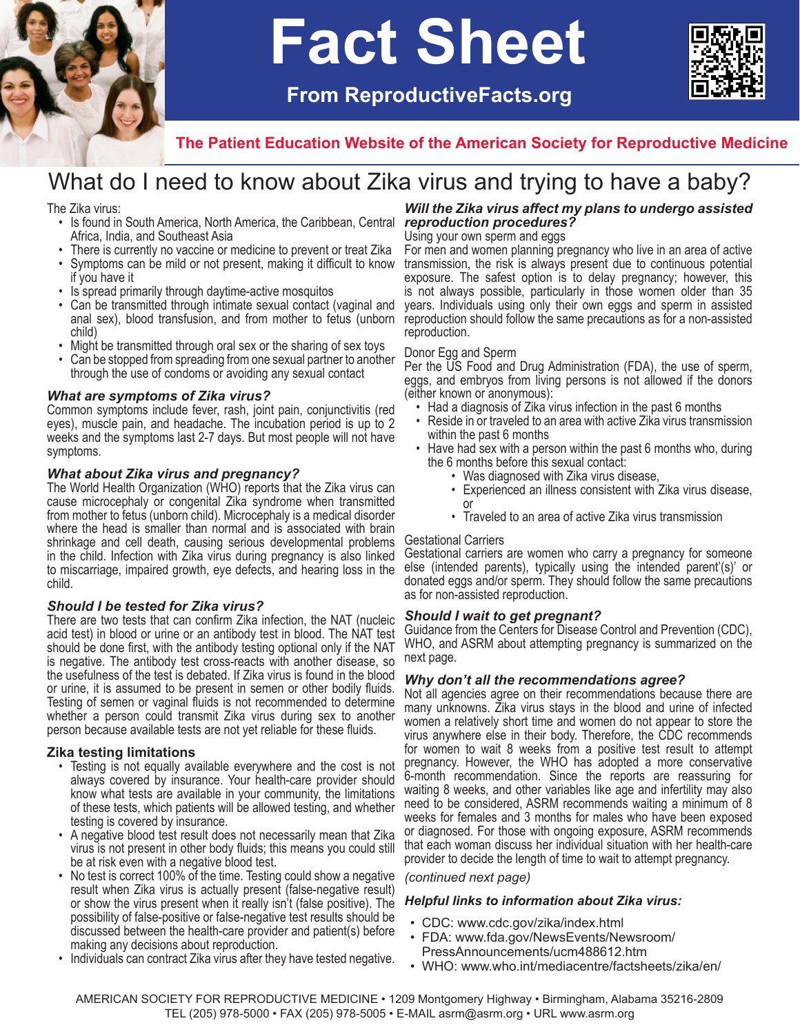

# **Fact Sheet**

 **From ReproductiveFacts.org**



**The Patient Education Website of the American Society for Reproductive Medicine**

## What do I need to know about Zika virus and trying to have a baby?

The Zika virus:

- Is found in South America, North America, the Caribbean, Central **reproduction procedures?** Africa, India, and Southeast Asia
- There is currently no vaccine or medicine to prevent or treat Zika<br>• Symptoms can be mild or not present, making it difficult to know
- Symptoms can be mild or not present, making it difficult to know if you have it
- Is spread primarily through daytime-active mosquitos
- Can be transmitted through intimate sexual contact (vaginal and anal sex), blood transfusion, and from mother to fetus (unborn child)
- Might be transmitted through oral sex or the sharing of sex toys
- Can be stopped from spreading from one sexual partner to another through the use of condoms or avoiding any sexual contact

#### *What are symptoms of Zika virus?*

Common symptoms include fever, rash, joint pain, conjunctivitis (red eyes), muscle pain, and headache. The incubation period is up to 2 weeks and the symptoms last 2-7 days. But most people will not have symptoms.

#### *What about Zika virus and pregnancy?*

The World Health Organization (WHO) reports that the Zika virus can cause microcephaly or congenital Zika syndrome when transmitted from mother to fetus (unborn child). Microcephaly is a medical disorder where the head is smaller than normal and is associated with brain shrinkage and cell death, causing serious developmental problems in the child. Infection with Zika virus during pregnancy is also linked to miscarriage, impaired growth, eye defects, and hearing loss in the child.

#### *Should I be tested for Zika virus?*

There are two tests that can confirm Zika infection, the NAT (nucleic acid test) in blood or urine or an antibody test in blood. The NAT test should be done first, with the antibody testing optional only if the NAT is negative. The antibody test cross-reacts with another disease, so the usefulness of the test is debated. If Zika virus is found in the blood or urine, it is assumed to be present in semen or other bodily fluids. Testing of semen or vaginal fluids is not recommended to determine whether a person could transmit Zika virus during sex to another person because available tests are not yet reliable for these fluids.

#### **Zika testing limitations**

- Testing is not equally available everywhere and the cost is not always covered by insurance. Your health-care provider should know what tests are available in your community, the limitations of these tests, which patients will be allowed testing, and whether testing is covered by insurance.
- A negative blood test result does not necessarily mean that Zika virus is not present in other body fluids; this means you could still be at risk even with a negative blood test.
- No test is correct 100% of the time. Testing could show a negative result when Zika virus is actually present (false-negative result) or show the virus present when it really isn't (false positive). The possibility of false-positive or false-negative test results should be discussed between the health-care provider and patient(s) before making any decisions about reproduction.
- Individuals can contract Zika virus after they have tested negative.

## *Will the Zika virus affect my plans to undergo assisted*

Using your own sperm and eggs

For men and women planning pregnancy who live in an area of active transmission, the risk is always present due to continuous potential exposure. The safest option is to delay pregnancy; however, this is not always possible, particularly in those women older than 35 years. Individuals using only their own eggs and sperm in assisted reproduction should follow the same precautions as for a non-assisted reproduction.

#### Donor Egg and Sperm

Per the US Food and Drug Administration (FDA), the use of sperm, eggs, and embryos from living persons is not allowed if the donors (either known or anonymous):

- Had a diagnosis of Zika virus infection in the past 6 months
- Reside in or traveled to an area with active Zika virus transmission within the past 6 months
- Have had sex with a person within the past 6 months who, during the 6 months before this sexual contact:
	- Was diagnosed with Zika virus disease,
	- Experienced an illness consistent with Zika virus disease, or
	- Traveled to an area of active Zika virus transmission

#### Gestational Carriers

Gestational carriers are women who carry a pregnancy for someone else (intended parents), typically using the intended parent'(s)' or donated eggs and/or sperm. They should follow the same precautions as for non-assisted reproduction.

#### *Should I wait to get pregnant?*

Guidance from the Centers for Disease Control and Prevention (CDC), WHO, and ASRM about attempting pregnancy is summarized on the next page.

#### *Why don't all the recommendations agree?*

Not all agencies agree on their recommendations because there are many unknowns. Zika virus stays in the blood and urine of infected women a relatively short time and women do not appear to store the virus anywhere else in their body. Therefore, the CDC recommends for women to wait 8 weeks from a positive test result to attempt pregnancy. However, the WHO has adopted a more conservative 6-month recommendation. Since the reports are reassuring for waiting 8 weeks, and other variables like age and infertility may also need to be considered, ASRM recommends waiting a minimum of 8 weeks for females and 3 months for males who have been exposed or diagnosed. For those with ongoing exposure, ASRM recommends that each woman discuss her individual situation with her health-care provider to decide the length of time to wait to attempt pregnancy.

#### *(continued next page)*

#### *Helpful links to information about Zika virus:*

- CDC: www.cdc.gov/zika/index.html
- FDA: www.fda.gov/NewsEvents/Newsroom/ PressAnnouncements/ucm488612.htm
- • WHO: www.who.int/mediacentre/factsheets/zika/en/

AMERICAN SOCIETY FOR REPRODUCTIVE MEDICINE • 1209 Montgomery Highway • Birmingham, Alabama 35216-2809 TEL (205) 978-5000 • FAX (205) 978-5005 • E-MAIL asrm@asrm.org • URL www.asrm.org